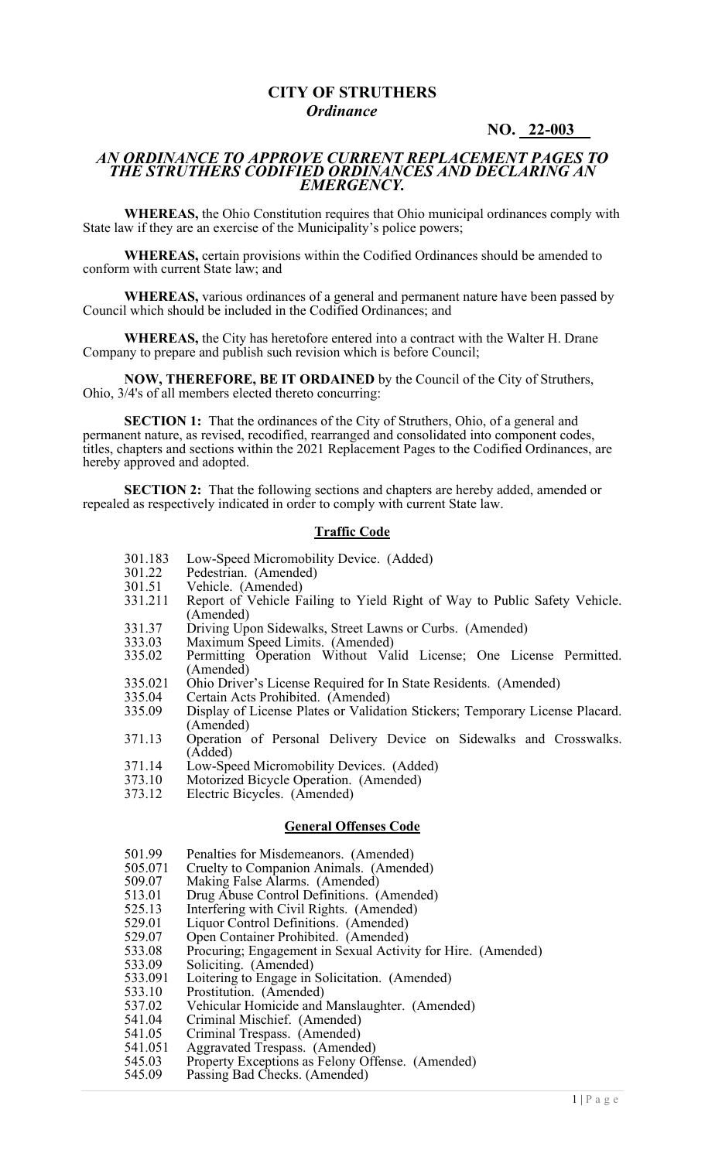# **CITY OF STRUTHERS**  *Ordinance*

### **NO. 22-003\_\_**

#### *AN ORDINANCE TO APPROVE CURRENT REPLACEMENT PAGES TO THE STRUTHERS CODIFIED ORDINANCES AND DECLARING AN EMERGENCY.*

**WHEREAS,** the Ohio Constitution requires that Ohio municipal ordinances comply with State law if they are an exercise of the Municipality's police powers;

**WHEREAS,** certain provisions within the Codified Ordinances should be amended to conform with current State law; and

**WHEREAS,** various ordinances of a general and permanent nature have been passed by Council which should be included in the Codified Ordinances; and

**WHEREAS,** the City has heretofore entered into a contract with the Walter H. Drane Company to prepare and publish such revision which is before Council;

**NOW, THEREFORE, BE IT ORDAINED** by the Council of the City of Struthers, Ohio, 3/4's of all members elected thereto concurring:

**SECTION 1:** That the ordinances of the City of Struthers, Ohio, of a general and permanent nature, as revised, recodified, rearranged and consolidated into component codes, titles, chapters and sections within the 2021 Replacement Pages to the Codified Ordinances, are hereby approved and adopted.

**SECTION 2:** That the following sections and chapters are hereby added, amended or repealed as respectively indicated in order to comply with current State law.

#### **Traffic Code**

- 301.183 Low-Speed Micromobility Device. (Added)<br>301.22 Pedestrian. (Amended)
- 301.22 Pedestrian. (Amended)<br>301.51 Vehicle. (Amended)
- 301.51 Vehicle. (Amended)
- 331.211 Report of Vehicle Failing to Yield Right of Way to Public Safety Vehicle. (Amended)
- 331.37 Driving Upon Sidewalks, Street Lawns or Curbs. (Amended)<br>333.03 Maximum Speed Limits. (Amended)
- 333.03 Maximum Speed Limits. (Amended)
- 335.02 Permitting Operation Without Valid License; One License Permitted. (Amended)
- 335.021 Ohio Driver's License Required for In State Residents. (Amended)<br>335.04 Certain Acts Prohibited. (Amended)
- 335.04 Certain Acts Prohibited. (Amended)<br>335.09 Display of License Plates or Validati
- Display of License Plates or Validation Stickers; Temporary License Placard. (Amended)
- 371.13 Operation of Personal Delivery Device on Sidewalks and Crosswalks. (Added)
- 371.14 Low-Speed Micromobility Devices. (Added)
- 373.10 Motorized Bicycle Operation. (Amended)<br>373.12 Electric Bicycles. (Amended)
- Electric Bicycles. (Amended)

#### **General Offenses Code**

- 501.99 Penalties for Misdemeanors. (Amended)<br>505.071 Cruelty to Companion Animals. (Amend
- 505.071 Cruelty to Companion Animals. (Amended)<br>509.07 Making False Alarms. (Amended)
- 509.07 Making False Alarms. (Amended)<br>513.01 Drug Abuse Control Definitions. (
- 513.01 Drug Abuse Control Definitions. (Amended)<br>525.13 Interfering with Civil Rights. (Amended)
- 525.13 Interfering with Civil Rights. (Amended)<br>529.01 Liquor Control Definitions. (Amended)
- 529.01 Liquor Control Definitions. (Amended)
- 529.07 Open Container Prohibited. (Amended)
- 533.08 Procuring; Engagement in Sexual Activity for Hire. (Amended)
- 533.09 Soliciting. (Amended)<br>533.091 Loitering to Engage in
- 533.091 Loitering to Engage in Solicitation. (Amended)<br>533.10 Prostitution. (Amended)
- 533.10 Prostitution. (Amended)<br>537.02 Vehicular Homicide and
- 537.02 Vehicular Homicide and Manslaughter. (Amended)<br>541.04 Criminal Mischief. (Amended)
- 541.04 Criminal Mischief. (Amended)
- 541.05 Criminal Trespass. (Amended)
- 541.051 Aggravated Trespass. (Amended)
- 545.03 Property Exceptions as Felony Offense. (Amended)
- 545.09 Passing Bad Checks. (Amended)